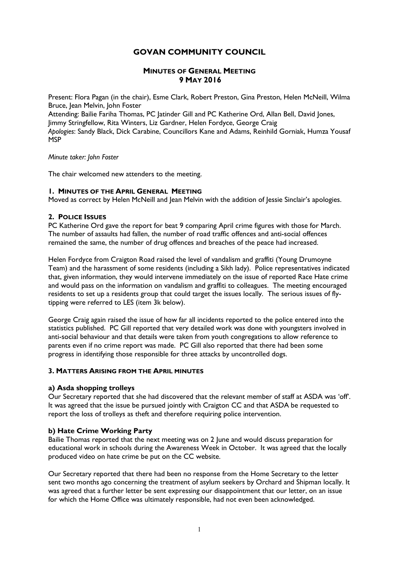# GOVAN COMMUNITY COUNCIL

## MINUTES OF GENERAL MEETING 9 MAY 2016

Present: Flora Pagan (in the chair), Esme Clark, Robert Preston, Gina Preston, Helen McNeill, Wilma Bruce, Jean Melvin, John Foster

Attending: Bailie Fariha Thomas, PC Jatinder Gill and PC Katherine Ord, Allan Bell, David Jones, Jimmy Stringfellow, Rita Winters, Liz Gardner, Helen Fordyce, George Craig Apologies: Sandy Black, Dick Carabine, Councillors Kane and Adams, Reinhild Gorniak, Humza Yousaf **MSP** 

### Minute taker: John Foster

The chair welcomed new attenders to the meeting.

### 1. MINUTES OF THE APRIL GENERAL MEETING

Moved as correct by Helen McNeill and Jean Melvin with the addition of Jessie Sinclair's apologies.

### 2. POLICE ISSUES

PC Katherine Ord gave the report for beat 9 comparing April crime figures with those for March. The number of assaults had fallen, the number of road traffic offences and anti-social offences remained the same, the number of drug offences and breaches of the peace had increased.

Helen Fordyce from Craigton Road raised the level of vandalism and graffiti (Young Drumoyne Team) and the harassment of some residents (including a Sikh lady). Police representatives indicated that, given information, they would intervene immediately on the issue of reported Race Hate crime and would pass on the information on vandalism and graffiti to colleagues. The meeting encouraged residents to set up a residents group that could target the issues locally. The serious issues of flytipping were referred to LES (item 3k below).

George Craig again raised the issue of how far all incidents reported to the police entered into the statistics published. PC Gill reported that very detailed work was done with youngsters involved in anti-social behaviour and that details were taken from youth congregations to allow reference to parents even if no crime report was made. PC Gill also reported that there had been some progress in identifying those responsible for three attacks by uncontrolled dogs.

### 3. MATTERS ARISING FROM THE APRIL MINUTES

## a) Asda shopping trolleys

Our Secretary reported that she had discovered that the relevant member of staff at ASDA was 'off'. It was agreed that the issue be pursued jointly with Craigton CC and that ASDA be requested to report the loss of trolleys as theft and therefore requiring police intervention.

## b) Hate Crime Working Party

Bailie Thomas reported that the next meeting was on 2 June and would discuss preparation for educational work in schools during the Awareness Week in October. It was agreed that the locally produced video on hate crime be put on the CC website.

Our Secretary reported that there had been no response from the Home Secretary to the letter sent two months ago concerning the treatment of asylum seekers by Orchard and Shipman locally. It was agreed that a further letter be sent expressing our disappointment that our letter, on an issue for which the Home Office was ultimately responsible, had not even been acknowledged.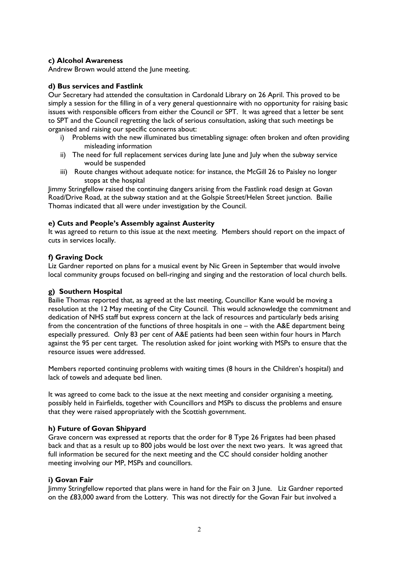## c) Alcohol Awareness

Andrew Brown would attend the June meeting.

### d) Bus services and Fastlink

Our Secretary had attended the consultation in Cardonald Library on 26 April. This proved to be simply a session for the filling in of a very general questionnaire with no opportunity for raising basic issues with responsible officers from either the Council or SPT. It was agreed that a letter be sent to SPT and the Council regretting the lack of serious consultation, asking that such meetings be organised and raising our specific concerns about:

- i) Problems with the new illuminated bus timetabling signage: often broken and often providing misleading information
- ii) The need for full replacement services during late June and July when the subway service would be suspended
- iii) Route changes without adequate notice: for instance, the McGill 26 to Paisley no longer stops at the hospital

Jimmy Stringfellow raised the continuing dangers arising from the Fastlink road design at Govan Road/Drive Road, at the subway station and at the Golspie Street/Helen Street junction. Bailie Thomas indicated that all were under investigation by the Council.

### e) Cuts and People's Assembly against Austerity

It was agreed to return to this issue at the next meeting. Members should report on the impact of cuts in services locally.

### f) Graving Dock

Liz Gardner reported on plans for a musical event by Nic Green in September that would involve local community groups focused on bell-ringing and singing and the restoration of local church bells.

## g) Southern Hospital

Bailie Thomas reported that, as agreed at the last meeting, Councillor Kane would be moving a resolution at the 12 May meeting of the City Council. This would acknowledge the commitment and dedication of NHS staff but express concern at the lack of resources and particularly beds arising from the concentration of the functions of three hospitals in one – with the A&E department being especially pressured. Only 83 per cent of A&E patients had been seen within four hours in March against the 95 per cent target. The resolution asked for joint working with MSPs to ensure that the resource issues were addressed.

Members reported continuing problems with waiting times (8 hours in the Children's hospital) and lack of towels and adequate bed linen.

It was agreed to come back to the issue at the next meeting and consider organising a meeting, possibly held in Fairfields, together with Councillors and MSPs to discuss the problems and ensure that they were raised appropriately with the Scottish government.

## h) Future of Govan Shipyard

Grave concern was expressed at reports that the order for 8 Type 26 Frigates had been phased back and that as a result up to 800 jobs would be lost over the next two years. It was agreed that full information be secured for the next meeting and the CC should consider holding another meeting involving our MP, MSPs and councillors.

## i) Govan Fair

Jimmy Stringfellow reported that plans were in hand for the Fair on 3 June. Liz Gardner reported on the £83,000 award from the Lottery. This was not directly for the Govan Fair but involved a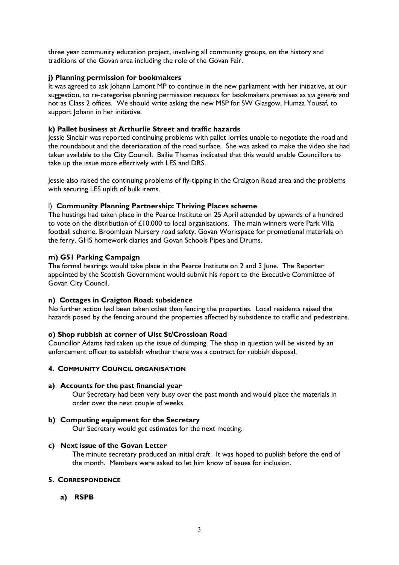three year community education project, involving all community groups, on the history and traditions of the Govan area including the role of the Govan Fair.

## j) Planning permission for bookmakers

It was agreed to ask Johann Lamont MP to continue in the new parliament with her initiative, at our suggestion, to re-categorise planning permission requests for bookmakers premises as sui generis and not as Class 2 offices. We should write asking the new MSP for SW Glasgow, Humza Yousaf, to support Johann in her initiative.

### k) Pallet business at Arthurlie Street and traffic hazards

Jessie Sinclair was reported continuing problems with pallet lorries unable to negotiate the road and the roundabout and the deterioration of the road surface. She was asked to make the video she had taken available to the City Council. Bailie Thomas indicated that this would enable Councillors to take up the issue more effectively with LES and DRS.

Jessie also raised the continuing problems of fly-tipping in the Craigton Road area and the problems with securing LES uplift of bulk items.

### l) Community Planning Partnership: Thriving Places scheme

The hustings had taken place in the Pearce Institute on 25 April attended by upwards of a hundred to vote on the distribution of £10,000 to local organisations. The main winners were Park Villa football scheme, Broomloan Nursery road safety, Govan Workspace for promotional materials on the ferry, GHS homework diaries and Govan Schools Pipes and Drums.

### m) G51 Parking Campaign

The formal hearings would take place in the Pearce Institute on 2 and 3 June. The Reporter appointed by the Scottish Government would submit his report to the Executive Committee of Govan City Council.

### n) Cottages in Craigton Road: subsidence

No further action had been taken othet than fencing the properties. Local residents raised the hazards posed by the fencing around the properties affected by subsidence to traffic and pedestrians.

### o) Shop rubbish at corner of Uist St/Crossloan Road

Councillor Adams had taken up the issue of dumping. The shop in question will be visited by an enforcement officer to establish whether there was a contract for rubbish disposal.

### 4. COMMUNITY COUNCIL ORGANISATION

### a) Accounts for the past financial year

Our Secretary had been very busy over the past month and would place the materials in order over the next couple of weeks.

## b) Computing equipment for the Secretary

Our Secretary would get estimates for the next meeting.

### c) Next issue of the Govan Letter

The minute secretary produced an initial draft. It was hoped to publish before the end of the month. Members were asked to let him know of issues for inclusion.

### 5. CORRESPONDENCE

a) RSPB